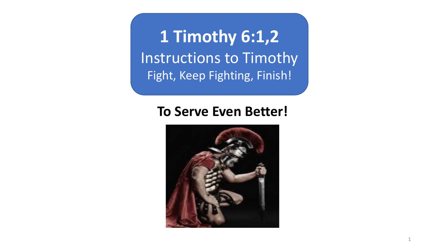**1 Timothy 6:1,2** Instructions to Timothy Fight, Keep Fighting, Finish!

## **To Serve Even Better!**

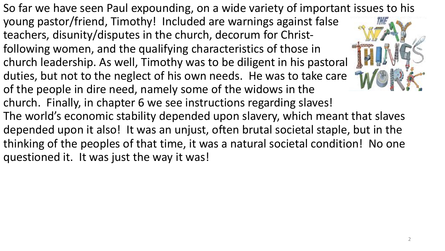So far we have seen Paul expounding, on a wide variety of important issues to his young pastor/friend, Timothy! Included are warnings against false teachers, disunity/disputes in the church, decorum for Christfollowing women, and the qualifying characteristics of those in church leadership. As well, Timothy was to be diligent in his pastoral duties, but not to the neglect of his own needs. He was to take care of the people in dire need, namely some of the widows in the church. Finally, in chapter 6 we see instructions regarding slaves! The world's economic stability depended upon slavery, which meant that slaves depended upon it also! It was an unjust, often brutal societal staple, but in the thinking of the peoples of that time, it was a natural societal condition! No one questioned it. It was just the way it was!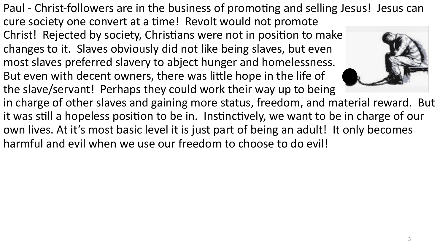Paul - Christ-followers are in the business of promoting and selling Jesus! Jesus can cure society one convert at a time! Revolt would not promote Christ! Rejected by society, Christians were not in position to make changes to it. Slaves obviously did not like being slaves, but even most slaves preferred slavery to abject hunger and homelessness. But even with decent owners, there was little hope in the life of the slave/servant! Perhaps they could work their way up to being in charge of other slaves and gaining more status, freedom, and material reward. But it was still a hopeless position to be in. Instinctively, we want to be in charge of our own lives. At it's most basic level it is just part of being an adult! It only becomes harmful and evil when we use our freedom to choose to do evil!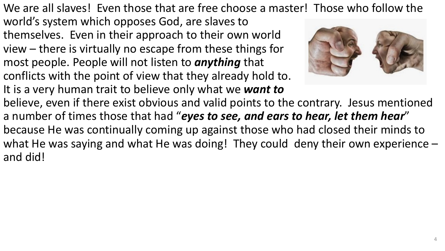We are all slaves! Even those that are free choose a master! Those who follow the

world's system which opposes God, are slaves to themselves. Even in their approach to their own world view – there is virtually no escape from these things for most people. People will not listen to *anything* that conflicts with the point of view that they already hold to. It is a very human trait to believe only what we *want to* 



believe, even if there exist obvious and valid points to the contrary. Jesus mentioned a number of times those that had "*eyes to see, and ears to hear, let them hear*" because He was continually coming up against those who had closed their minds to what He was saying and what He was doing! They could deny their own experience and did!